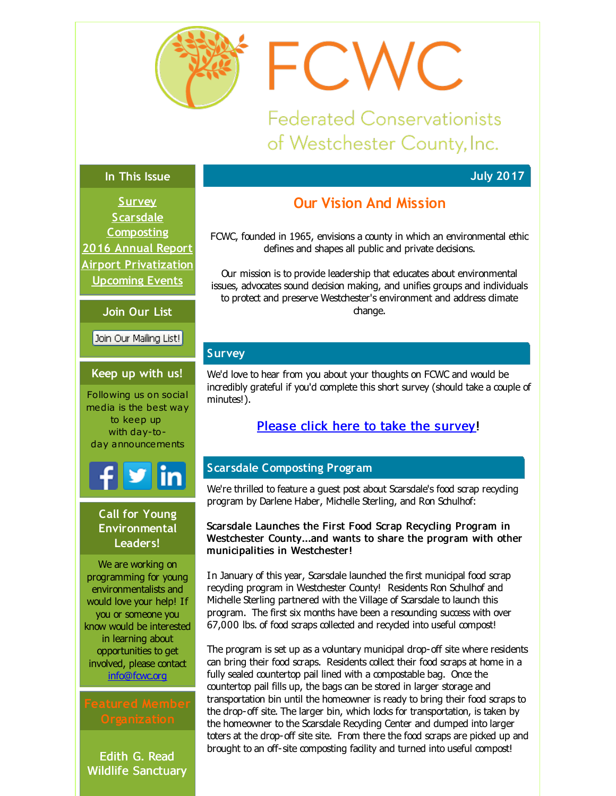<span id="page-0-0"></span>

**Federated Conservationists** of Westchester County, Inc.

FCWC

**July 2017**

#### **In This Issue**

**[Survey](#page-0-0) Scarsdale [Composting](#page-0-0) 2016 [Annual](#page-0-0) Report Airport [Privatization](#page-0-0) [Upcoming](#page-0-0) Events**

**Join Our List**

Join Our Mailing List!

#### **Keep up with us!**

Following us on social media is the best way to keep up with day-today announcements

# **Call for Young Environmental Leaders!**

We are working on programming for young environmentalists and would love your help! If you or someone you know would be interested in learning about opportunities to get involved, please contact [info@fcwc.org](mailto:info@fcwc.org)

Edith G. Read Wildlife Sanctuary

# **Our Vision And Mission**

FCWC, founded in 1965, envisions a county in which an environmental ethic defines and shapes all public and private decisions.

Our mission is to provide leadership that educates about environmental issues, advocates sound decision making, and unifies groups and individuals to protect and preserve Westchester's environment and address dimate change.

# **Survey**

We'd love to hear from you about your thoughts on FCWC and would be incredibly grateful if you'd complete this short survey (should take a couple of minutes!).

# Please click here to take the [survey](http://r20.rs6.net/tn.jsp?f=001Xybb5EqnEHdNKwBcLszr3AFwFp9X0HAZ_6nAujqHlqkb3b78JIr14JI5JuLKZc1-dJRNv-OMKv71N4uzPFNAvzqd-82XWeL4ld3TSOdo3H8adQM1E3_RBf6om1ZzK6JVIWhHt9Z1ISGl7Vvz8sxBBAFTgaWvSh89gF0QDY2seRvLQ8kSbq5Igw_ICDYY0ouY&c=&ch=)!

# **Scarsdale Composting Program**

We're thrilled to feature a guest post about Scarsdale's food scrap recyding program by Darlene Haber, Michelle Sterling, and Ron Schulhof:

Scarsdale Launches the First Food Scrap Recycling Program in Westchester County...and wants to share the program with other municipalities in Westchester!

In January of this year, Scarsdale launched the first municipal food scrap recyding program in Westchester County! Residents Ron Schulhof and Michelle Sterling partnered with the Village of Scarsdale to launch this program. The first six months have been a resounding success with over 67,000 lbs. of food scraps collected and recycled into useful compost!

The program is set up as a voluntary municipal drop-off site where residents can bring their food scraps. Residents collect their food scraps at home in a fully sealed countertop pail lined with a compostable bag. Once the countertop pail fills up, the bags can be stored in larger storage and transportation bin until the homeowner is ready to bring their food scraps to the drop-off site. The larger bin, which locks for transportation, is taken by the homeowner to the Scarsdale Recycling Center and dumped into larger toters at the drop-off site site. From there the food scraps are picked up and brought to an off-site composting facility and turned into useful compost!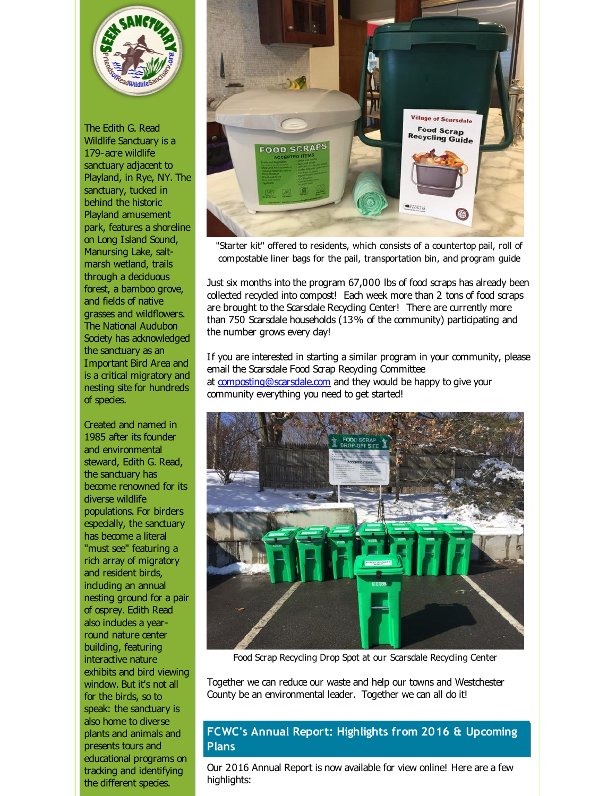

The Edith G. Read Wildlife Sanctuary is a 179-acre wildlife sanctuary adjacent to Playland, in Rye, NY. The sanctuary, tucked in behind the historic Playland amusement park, features a shoreline on Long Island Sound, Manursing Lake, saltmarsh wetland, trails through a deciduous forest, a bamboo grove, and fields of native grasses and wildflowers. The National Audubon Society has acknowledged the sanctuary as an Important Bird Area and is a critical migratory and nesting site for hundreds of species.

Created and named in 1985 after its founder and environmental steward, Edith G. Read, the sanctuary has become renowned for its diverse wildlife populations. For birders especially, the sanctuary has become a literal "must see" featuring a rich array of migratory and resident birds, induding an annual nesting ground for a pair of osprey. Edith Read also indudes a yearround nature center building, featuring interactive nature exhibits and bird viewing window. But it's not all for the birds, so to speak: the sanctuary is also home to diverse plants and animals and presents tours and educational programs on tracking and identifying the different species.



"Starter kit" offered to residents, which consists of a countertop pail, roll of compostable liner bags for the pail, transportation bin, and program guide

Just six months into the program 67,000 lbs of food scraps has already been collected recycled into compost! Each week more than 2 tons of food scraps are brought to the Scarsdale Recycling Center! There are currently more than 750 Scarsdale households (13% of the community) participating and the number grows every day!

If you are interested in starting a similar program in your community, please email the Scarsdale Food Scrap Recycling Committee at [composting@scarsdale.com](mailto:composting@scarsdale.com) and they would be happy to give your community everything you need to get started!



Food Scrap Recycling Drop Spot at our Scarsdale Recycling Center

Together we can reduce our waste and help our towns and Westchester County be an environmental leader. Together we can all do it!

### **FCWC's Annual Report: Highlights from 2016 & Upcoming Plans**

Our 2016 Annual Report is now available for view online! Here are a few highlights: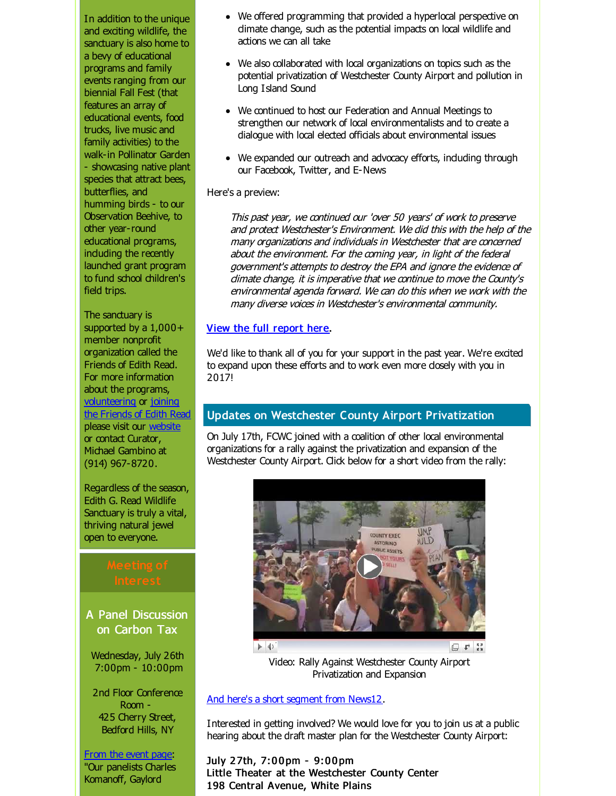In addition to the unique and exciting wildlife, the sanctuary is also home to a bevy of educational programs and family events ranging from our biennial Fall Fest (that features an array of educational events, food trucks, live music and family activities) to the walk-in Pollinator Garden - showcasing native plant species that attract bees, butterflies, and humming birds - to our Observation Beehive, to other year-round educational programs, induding the recently launched grant program to fund school children's field trips.

The sanctuary is supported by a  $1,000+$ member nonprofit organization called the Friends of Edith Read. For more information about the programs, [volunteering](http://r20.rs6.net/tn.jsp?f=001Xybb5EqnEHdNKwBcLszr3AFwFp9X0HAZ_6nAujqHlqkb3b78JIr14JI5JuLKZc1-bjPYu9rKPmG9U2uaCluOxfxg9U4mX002rvwoVA2sRuOIJxth1IEfcfa6vxHmy5iyIrMy1pnUDg58FKnP5CGOQuF4fEQJW8j-Sb6-oQB8-DrdKduQ9zSJzSAu1E_OgiEWrRP0VixXYjiK2pVuoFrIedXM6WBBKXzJ&c=&ch=) or joining the Friends of Edith Read please visit our [website](http://r20.rs6.net/tn.jsp?f=001Xybb5EqnEHdNKwBcLszr3AFwFp9X0HAZ_6nAujqHlqkb3b78JIr14JI5JuLKZc1-rlXcPJ7CTI0MhkCdO0fssk1xCD1DuQZQwnjPUKQtofQ90YpUZyqdWJtpKpDFWmFV76FBI174HoY0E_WPfVJ-q-zNyjOOsQnd5bZJzmuWzpgwhYAlBA55geGdP0JdY6OgAQ_7bLFJKM8=&c=&ch=) or contact Curator, Michael Gambino at (914) 967-8720.

Regardless of the season, Edith G. Read Wildlife Sanctuary is truly a vital, thriving natural jewel open to everyone.

A Panel Discussion on Carbon Tax

Wednesday, July 26th 7:00pm - 10:00pm

2nd Floor Conference Room - 425 Cherry Street, Bedford Hills, NY

From the [event](http://r20.rs6.net/tn.jsp?f=001Xybb5EqnEHdNKwBcLszr3AFwFp9X0HAZ_6nAujqHlqkb3b78JIr14JI5JuLKZc1-yJ7tJSXoOouie8AIW0VTQRrrAqWWBNUOv_BCnx-yxtAFqp7ehw2YacxdclWGy9Zu2XiKVE6DLqvx8CZOFR1HZVXHkdZ1wFVwGjXtyKh18CP8GhYI_BB-gMW3_D_2g4L9RAP-0MY2QPKZ6ZWH8G5kk2OXwQUI63zoFLvlLZ1VZdq7LBcnQOOL4GNqEYl3cIqxMJrL4dCcnS2tivf1OKjdAVxmrhUnhCR0XcNMGLQNu0WO92rj9oIh6D-LgcQ0i9PRQMST1e9XBX_9tGnRjWddBqUb6BvobCdxw8URCFv4_DKk0gCK9lUtXhK56yszjZ79-aIvUx8sNLYJBzSA_bhx1oabH_IreX1Pj5mt1HbcSI-gC9ZRi5b_W4gHCwTEthQF4eFdjcY3Xt9SsDCpq21EDB_Zm-1cSNWDszY6qs0U1LWdg2qnYm10IF4hHkYgPd045KX4mvcSmj0mNGJL4KViIqvl2MQ79WbuicVtMx85XGu_6seoT5qBrtvl_L0VXYcTaHsKT0056Dck9enqWuR8yIjLjxC9nz0r&c=&ch=) page: "Our panelists Charles Komanoff, Gaylord

- We offered programming that provided a hyperlocal perspective on climate change, such as the potential impacts on local wildlife and actions we can all take
- We also collaborated with local organizations on topics such as the potential privatization of Westchester County Airport and pollution in Long Island Sound
- We continued to host our Federation and Annual Meetings to strengthen our network of local environmentalists and to create a dialogue with local elected officials about environmental issues
- We expanded our outreach and advocacy efforts, induding through our Facebook, Twitter, and E-News

#### Here's a preview:

This past year, we continued our 'over 50 years' of work to preserve and protect Westchester's Environment. We did this with the help of the many organizations and individuals in Westchester that are concerned about the environment. For the coming year, in light of the federal government's attempts to destroy the EPA and ignore the evidence of climate change, it is imperative that we continue to move the County's environmental agenda forward. We can do this when we work with the many diverse voices in Westchester's environmental community.

### View the full [report](http://r20.rs6.net/tn.jsp?f=001Xybb5EqnEHdNKwBcLszr3AFwFp9X0HAZ_6nAujqHlqkb3b78JIr14JI5JuLKZc1-fJSrnbInip42tfmhFUlOwd0NkEsbm5TppWR69PK2I4CSvv9Pk3k_rSzanu_Lr65MYEdOVi-7VY2fGBNURTLvX2OMiw-D6dEHZwecGRD-JyHepujQ8MTCLSpuGMO96L2TobFjauOufTxlLFX23dmhL1bYfzy22eB5qlgjOmDRTQDr7zSyaEbeKQ==&c=&ch=) here.

We'd like to thank all of you for your support in the past year. We're excited to expand upon these efforts and to work even more closely with you in 2017!

# **Updates on Westchester County Airport Privatization**

On July 17th, FCWC joined with a coalition of other local environmental organizations for a rally against the privatization and expansion of the Westchester County Airport. Click below for a short video from the rally:



Video: Rally Against Westchester County Airport Privatization and Expansion

### And here's a short [segment](http://r20.rs6.net/tn.jsp?f=001Xybb5EqnEHdNKwBcLszr3AFwFp9X0HAZ_6nAujqHlqkb3b78JIr14JI5JuLKZc1-oAKPxHIKhpxzyWZxlg4PpwI4PiokQGtpOGzIBdmK-Dqwf1CO_JTRY3tXjy8pnFzbzI1vPjMvSynYj93qyMpSMTC9b6RwF9fc2RY2FbMEe1aGIgQKW8Kj5LMlPbOn7q1rP3bLeVywbgapLncYC7sg6mmI7KkqOZiooG7uDdwFkWYLicfE9eyBEodTPX67E3aHri7RaKQqG2tTPa2nQMzsyw==&c=&ch=) from News12.

Interested in getting involved? We would love for you to join us at a public hearing about the draft master plan for the Westchester County Airport:

July 2 7th, 7:0 0 pm - 9:0 0 pm Little Theater at the Westchester County Center 198 Central Avenue, White Plains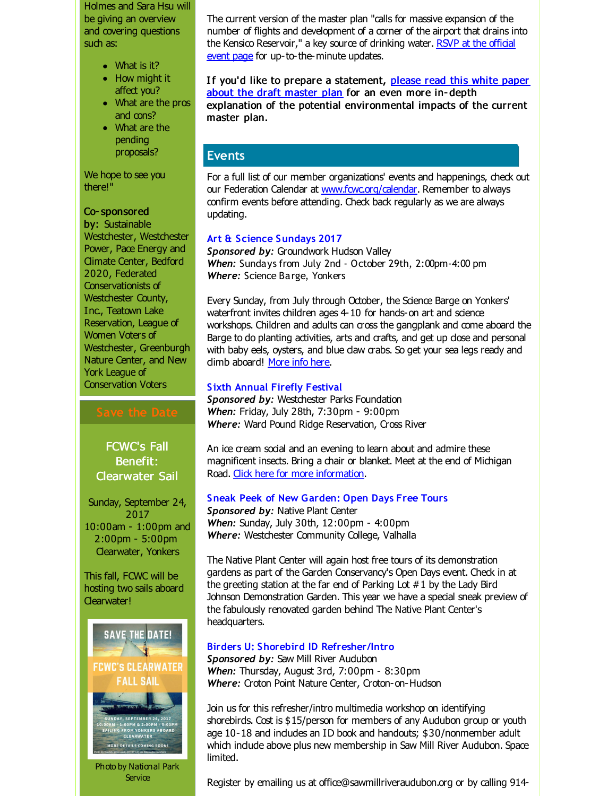Holmes and Sara Hsu will be giving an overview and covering questions such as:

- What is it?
- How might it affect you?
- What are the pros and cons?
- What are the pending proposals?

We hope to see you there!"

#### Co- sponsored

by: Sustainable Westchester, Westchester Power, Pace Energy and Climate Center, Bedford 2020, Federated Conservationists of Westchester County, Inc., Teatown Lake Reservation, League of Women Voters of Westchester, Greenburgh Nature Center, and New York League of Conservation Voters

FCWC's Fall Benefit: Clearwater Sail

Sunday, September 24, 2017 10:00am - 1:00pm and 2:00pm - 5:00pm Clearwater, Yonkers

This fall, FCWC will be hosting two sails aboard Clearwater!



**Service** 

The current version of the master plan "calls for massive expansion of the number of flights and development of a corner of the airport that drains into the Kensico Reservoir," a key source of drinking water. RSVP at the official event page for [up-to-the-minute](http://r20.rs6.net/tn.jsp?f=001Xybb5EqnEHdNKwBcLszr3AFwFp9X0HAZ_6nAujqHlqkb3b78JIr14JI5JuLKZc1-XGkADw4KhUVHWwXg-RRi5fu446spn3b52q77ZuxVs8gsjXxXIT1x4Ez7ojMuBc8nzpKxQ90kA37iKfTtRy1GoFg5bySd-wwbbaxr-uuB93BTRF9AbCK6fb4KS9qT8AOFLYI7z6EYXzooxCNe9AGK2YUC9_Joh-2Xxa4Yxfo51L2nwumNlyRD3AI-acVwc-Zcqq1rkiNXEGbGHfF1_KqW71MpO_zqry2wRRj_t20mS6_TmRw6leBPkwObcao5yrRxheYhYQaFXHIuGGg5mGrQXpVnFuFTLbwe7PCsivQsvpQ65_cKSlTYf9Zgh8Lzbg3voWS7yY9lJHzLSm58fJMjgNVWkBx0n_miE9rURazstG4=&c=&ch=) updates.

If you'd like to prepare a [statement,](http://r20.rs6.net/tn.jsp?f=001Xybb5EqnEHdNKwBcLszr3AFwFp9X0HAZ_6nAujqHlqkb3b78JIr14JI5JuLKZc1-4qUG6AGiLkwj0KSePjrII3mO5FgHKX5XoAz5sgAKvvI8psrxn_fA7ECf1RzEwD-3hW4gTBjx0zC7fdlYK_GcS6Li4FdXzeuYh9D1Hs3x71N7r_CS6hWomsw6T7q97pBgNC_gj-q6dgKxVXgS-joaaHtcVqFCjiGEz5h0ClkG474=&c=&ch=) please read this white paper about the draft master plan for an even more in- depth explanation of the potential environmental impacts of the current master plan.

# **Events**

For a full list of our member organizations' events and happenings, check out our Federation Calendar at [www.fcwc.org/calendar](http://r20.rs6.net/tn.jsp?f=001Xybb5EqnEHdNKwBcLszr3AFwFp9X0HAZ_6nAujqHlqkb3b78JIr14EHaAY-v1U04dtgW9GQ69G-vqtrf3qboUODRYCGOzo6K49c0hqn0WNg6sHpOVBRF1OcjZIYfRFR-hgrBWHYDkJHpC1s27m5asbNOcyhhx5ljkqHIGI2HTscIiWLU-RliLEBnvqK9N4Nv&c=&ch=). Remember to always confirm events before attending. Check back regularly as we are always updating.

### **Art & Science Sundays 2017**

*Sponsored by:* Groundwork Hudson Valley *When:* Sundays from July 2nd - October 29th, 2:00pm-4:00 pm *Where:* Science Barge, Yonkers

Every Sunday, from July through October, the Science Barge on Yonkers' waterfront invites children ages 4-10 for hands-on art and science workshops. Children and adults can cross the gangplank and come aboard the Barge to do planting activities, arts and crafts, and get up dose and personal with baby eels, oysters, and blue daw crabs. So get your sea legs ready and dimb aboard! [More](http://r20.rs6.net/tn.jsp?f=001Xybb5EqnEHdNKwBcLszr3AFwFp9X0HAZ_6nAujqHlqkb3b78JIr14JI5JuLKZc1-6d9Pc0IgcMCfwNajsh1aAF6yMMBTEAaDJ6ZyB2CsMVbLkmCtLLE7-ZftKtxa9xCz4M69_bYHbYLQdHgtwtkr9v5ODE95ICIk8zUz49lqaE7dUg_UDPY_Y1JtEQ-XokGPfOl0QD6L6AOt5P7z9TY8OQehFUqxQfQJ&c=&ch=) info here.

### **Sixth Annual Firefly Festival**

**Sponsored by: Westchester Parks Foundation** *When:* Friday, July 28th, 7:30pm - 9:00pm *Where:* Ward Pound Ridge Reservation, Cross River

An ice cream social and an evening to learn about and admire these magnificent insects. Bring a chair or blanket. Meet at the end of Michigan Road. Click here for more [information](http://r20.rs6.net/tn.jsp?f=001Xybb5EqnEHdNKwBcLszr3AFwFp9X0HAZ_6nAujqHlqkb3b78JIr14JI5JuLKZc1-xkonzmmFKTREC30NskkPPKgejQyeJYM0X1NbAUjVF7RmOu5xfuS5Ucz6wOJgw1_aFme-uX-qN1cn3wbbOwLcvMKJStQKH05EASCCt-N-S77ygEJZ9jOd6ELMIDCPyzuHbeR-nkndYkSAe2Qnm26zIoH6-Oj3fZnMLUK36FC9ii8JT8M4QoLw7_IRxgcvRJSW&c=&ch=).

#### **Sneak Peek of New Garden: Open Days Free Tours**

*Sponsored by:* Native Plant Center *When:* Sunday, July 30th, 12:00pm - 4:00pm *Where:* Westchester Community College, Valhalla

The Native Plant Center will again host free tours of its demonstration gardens as part of the Garden Conservancy's Open Days event. Check in at the greeting station at the far end of Parking Lot #1 by the Lady Bird Johnson Demonstration Garden. This year we have a special sneak preview of the fabulously renovated garden behind The Native Plant Center's headquarters.

### **Birders U: Shorebird ID Refresher/Intro**

*Sponsored by:* Saw Mill River Audubon *When:* Thursday, August 3rd, 7:00pm - 8:30pm *Where:* Croton Point Nature Center, Croton-on-Hudson

Join us for this refresher/intro multimedia workshop on identifying shorebirds. Cost is \$15/person for members of any Audubon group or youth age 10-18 and indudes an ID book and handouts; \$30/nonmember adult which indude above plus new membership in Saw Mill River Audubon. Space limited.

Register by emailing us at office@sawmillriveraudubon.org or by calling 914-